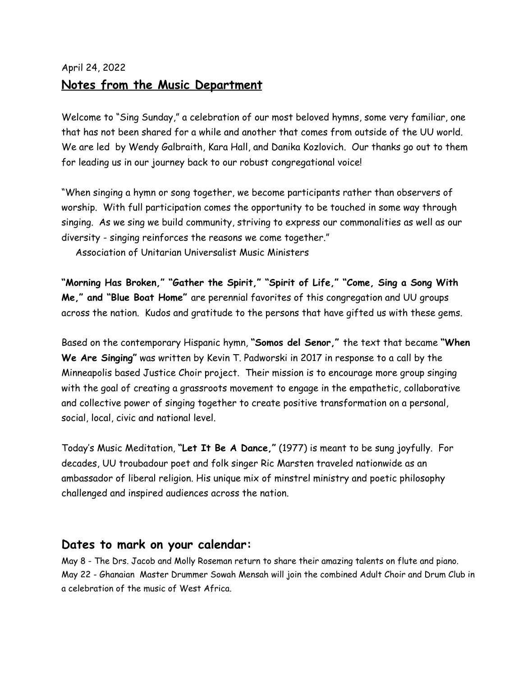## April 24, 2022 **Notes from the Music Department**

Welcome to "Sing Sunday," a celebration of our most beloved hymns, some very familiar, one that has not been shared for a while and another that comes from outside of the UU world. We are led by Wendy Galbraith, Kara Hall, and Danika Kozlovich. Our thanks go out to them for leading us in our journey back to our robust congregational voice!

"When singing a hymn or song together, we become participants rather than observers of worship. With full participation comes the opportunity to be touched in some way through singing. As we sing we build community, striving to express our commonalities as well as our diversity - singing reinforces the reasons we come together."

Association of Unitarian Universalist Music Ministers

**"Morning Has Broken," "Gather the Spirit," "Spirit of Life," "Come, Sing a Song With Me," and "Blue Boat Home"** are perennial favorites of this congregation and UU groups across the nation. Kudos and gratitude to the persons that have gifted us with these gems.

Based on the contemporary Hispanic hymn, **"Somos del Senor,"** the text that became **"When We Are Singing"** was written by Kevin T. Padworski in 2017 in response to a call by the Minneapolis based Justice Choir project. Their mission is to encourage more group singing with the goal of creating a grassroots movement to engage in the empathetic, collaborative and collective power of singing together to create positive transformation on a personal, social, local, civic and national level.

Today's Music Meditation, **"Let It Be A Dance,"** (1977) is meant to be sung joyfully. For decades, UU troubadour poet and folk singer Ric Marsten traveled nationwide as an ambassador of liberal religion. His unique mix of minstrel ministry and poetic philosophy challenged and inspired audiences across the nation.

## **Dates to mark on your calendar:**

May 8 - The Drs. Jacob and Molly Roseman return to share their amazing talents on flute and piano. May 22 - Ghanaian Master Drummer Sowah Mensah will join the combined Adult Choir and Drum Club in a celebration of the music of West Africa.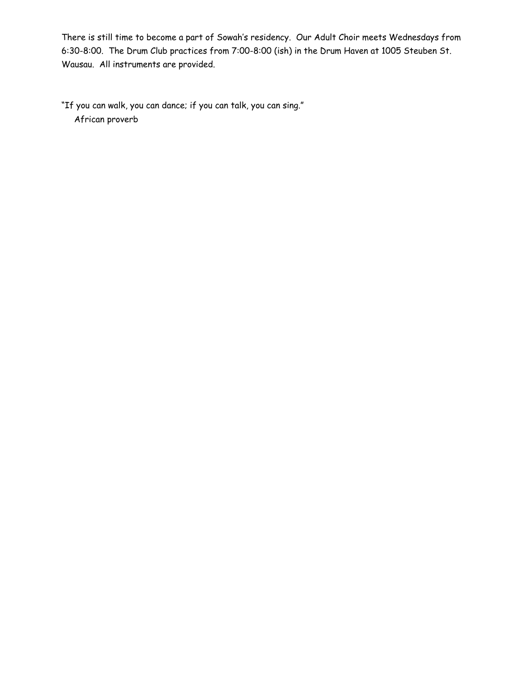There is still time to become a part of Sowah's residency. Our Adult Choir meets Wednesdays from 6:30-8:00. The Drum Club practices from 7:00-8:00 (ish) in the Drum Haven at 1005 Steuben St. Wausau. All instruments are provided.

"If you can walk, you can dance; if you can talk, you can sing." African proverb